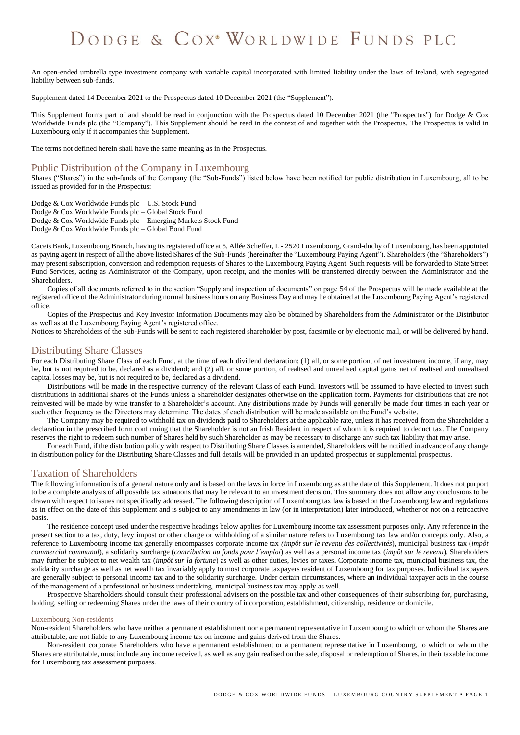# DODGE & COX<sup>®</sup> WORLDWIDE FUNDS PLC

An open-ended umbrella type investment company with variable capital incorporated with limited liability under the laws of Ireland, with segregated liability between sub-funds.

Supplement dated 14 December 2021 to the Prospectus dated 10 December 2021 (the "Supplement").

This Supplement forms part of and should be read in conjunction with the Prospectus dated 10 December 2021 (the "Prospectus") for Dodge & Cox Worldwide Funds plc (the "Company"). This Supplement should be read in the context of and together with the Prospectus. The Prospectus is valid in Luxembourg only if it accompanies this Supplement.

The terms not defined herein shall have the same meaning as in the Prospectus.

## Public Distribution of the Company in Luxembourg

Shares ("Shares") in the sub-funds of the Company (the "Sub-Funds") listed below have been notified for public distribution in Luxembourg, all to be issued as provided for in the Prospectus:

Dodge & Cox Worldwide Funds plc – U.S. Stock Fund

Dodge & Cox Worldwide Funds plc – Global Stock Fund

Dodge & Cox Worldwide Funds plc – Emerging Markets Stock Fund

Dodge & Cox Worldwide Funds plc – Global Bond Fund

Caceis Bank, Luxembourg Branch, having its registered office at 5, Allée Scheffer, L - 2520 Luxembourg, Grand-duchy of Luxembourg, has been appointed as paying agent in respect of all the above listed Shares of the Sub-Funds (hereinafter the "Luxembourg Paying Agent"). Shareholders (the "Shareholders") may present subscription, conversion and redemption requests of Shares to the Luxembourg Paying Agent. Such requests will be forwarded to State Street Fund Services, acting as Administrator of the Company, upon receipt, and the monies will be transferred directly between the Administrator and the Shareholders.

Copies of all documents referred to in the section "Supply and inspection of documents" on page 54 of the Prospectus will be made available at the registered office of the Administrator during normal business hours on any Business Day and may be obtained at the Luxembourg Paying Agent's registered office.

Copies of the Prospectus and Key Investor Information Documents may also be obtained by Shareholders from the Administrator or the Distributor as well as at the Luxembourg Paying Agent's registered office.

Notices to Shareholders of the Sub-Funds will be sent to each registered shareholder by post, facsimile or by electronic mail, or will be delivered by hand.

# Distributing Share Classes

For each Distributing Share Class of each Fund, at the time of each dividend declaration: (1) all, or some portion, of net investment income, if any, may be, but is not required to be, declared as a dividend; and (2) all, or some portion, of realised and unrealised capital gains net of realised and unrealised capital losses may be, but is not required to be, declared as a dividend.

Distributions will be made in the respective currency of the relevant Class of each Fund. Investors will be assumed to have elected to invest such distributions in additional shares of the Funds unless a Shareholder designates otherwise on the application form. Payments for distributions that are not reinvested will be made by wire transfer to a Shareholder's account. Any distributions made by Funds will generally be made four times in each year or such other frequency as the Directors may determine. The dates of each distribution will be made available on the Fund's website.

The Company may be required to withhold tax on dividends paid to Shareholders at the applicable rate, unless it has received from the Shareholder a declaration in the prescribed form confirming that the Shareholder is not an Irish Resident in respect of whom it is required to deduct tax. The Company reserves the right to redeem such number of Shares held by such Shareholder as may be necessary to discharge any such tax liability that may arise.

For each Fund, if the distribution policy with respect to Distributing Share Classes is amended, Shareholders will be notified in advance of any change in distribution policy for the Distributing Share Classes and full details will be provided in an updated prospectus or supplemental prospectus.

# Taxation of Shareholders

The following information is of a general nature only and is based on the laws in force in Luxembourg as at the date of this Supplement. It does not purport to be a complete analysis of all possible tax situations that may be relevant to an investment decision. This summary does not allow any conclusions to be drawn with respect to issues not specifically addressed. The following description of Luxembourg tax law is based on the Luxembourg law and regulations as in effect on the date of this Supplement and is subject to any amendments in law (or in interpretation) later introduced, whether or not on a retroactive basis.

The residence concept used under the respective headings below applies for Luxembourg income tax assessment purposes only. Any reference in the present section to a tax, duty, levy impost or other charge or withholding of a similar nature refers to Luxembourg tax law and/or concepts only. Also, a reference to Luxembourg income tax generally encompasses corporate income tax *(impôt sur le revenu des collectivités*), municipal business tax (*impôt commercial communal*), a solidarity surcharge (*contribution au fonds pour l'emploi*) as well as a personal income tax (*impôt sur le revenu*). Shareholders may further be subject to net wealth tax (*impôt sur la fortune*) as well as other duties, levies or taxes. Corporate income tax, municipal business tax, the solidarity surcharge as well as net wealth tax invariably apply to most corporate taxpayers resident of Luxembourg for tax purposes. Individual taxpayers are generally subject to personal income tax and to the solidarity surcharge. Under certain circumstances, where an individual taxpayer acts in the course of the management of a professional or business undertaking, municipal business tax may apply as well.

Prospective Shareholders should consult their professional advisers on the possible tax and other consequences of their subscribing for, purchasing, holding, selling or redeeming Shares under the laws of their country of incorporation, establishment, citizenship, residence or domicile.

#### Luxembourg Non-residents

Non-resident Shareholders who have neither a permanent establishment nor a permanent representative in Luxembourg to which or whom the Shares are attributable, are not liable to any Luxembourg income tax on income and gains derived from the Shares.

Non-resident corporate Shareholders who have a permanent establishment or a permanent representative in Luxembourg, to which or whom the Shares are attributable, must include any income received, as well as any gain realised on the sale, disposal or redemption of Shares, in their taxable income for Luxembourg tax assessment purposes.